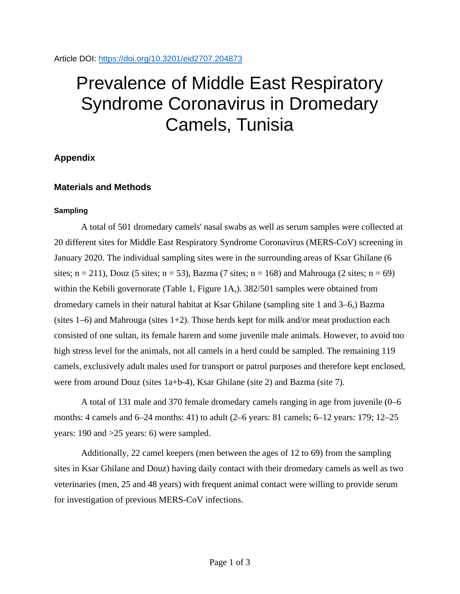# Prevalence of Middle East Respiratory Syndrome Coronavirus in Dromedary Camels, Tunisia

# **Appendix**

# **Materials and Methods**

## **Sampling**

A total of 501 dromedary camels' nasal swabs as well as serum samples were collected at 20 different sites for Middle East Respiratory Syndrome Coronavirus (MERS-CoV) screening in January 2020. The individual sampling sites were in the surrounding areas of Ksar Ghilane (6 sites;  $n = 211$ ), Douz (5 sites;  $n = 53$ ), Bazma (7 sites;  $n = 168$ ) and Mahrouga (2 sites;  $n = 69$ ) within the Kebili governorate (Table 1, Figure 1A,). 382/501 samples were obtained from dromedary camels in their natural habitat at Ksar Ghilane (sampling site 1 and 3–6,) Bazma (sites  $1-6$ ) and Mahrouga (sites  $1+2$ ). Those herds kept for milk and/or meat production each consisted of one sultan, its female harem and some juvenile male animals. However, to avoid too high stress level for the animals, not all camels in a herd could be sampled. The remaining 119 camels, exclusively adult males used for transport or patrol purposes and therefore kept enclosed, were from around Douz (sites 1a+b-4), Ksar Ghilane (site 2) and Bazma (site 7).

A total of 131 male and 370 female dromedary camels ranging in age from juvenile (0–6 months: 4 camels and 6–24 months: 41) to adult (2–6 years: 81 camels; 6–12 years: 179; 12–25 years: 190 and >25 years: 6) were sampled.

Additionally, 22 camel keepers (men between the ages of 12 to 69) from the sampling sites in Ksar Ghilane and Douz) having daily contact with their dromedary camels as well as two veterinaries (men, 25 and 48 years) with frequent animal contact were willing to provide serum for investigation of previous MERS-CoV infections.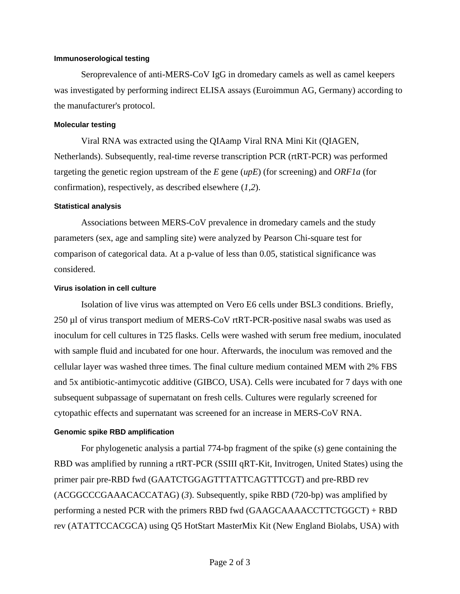#### **Immunoserological testing**

Seroprevalence of anti-MERS-CoV IgG in dromedary camels as well as camel keepers was investigated by performing indirect ELISA assays (Euroimmun AG, Germany) according to the manufacturer's protocol.

#### **Molecular testing**

Viral RNA was extracted using the QIAamp Viral RNA Mini Kit (QIAGEN, Netherlands). Subsequently, real-time reverse transcription PCR (rtRT-PCR) was performed targeting the genetic region upstream of the *E* gene (*upE*) (for screening) and *ORF1a* (for confirmation), respectively, as described elsewhere (*1*,*2*).

#### **Statistical analysis**

Associations between MERS-CoV prevalence in dromedary camels and the study parameters (sex, age and sampling site) were analyzed by Pearson Chi-square test for comparison of categorical data. At a p-value of less than 0.05, statistical significance was considered.

#### **Virus isolation in cell culture**

Isolation of live virus was attempted on Vero E6 cells under BSL3 conditions. Briefly, 250 µl of virus transport medium of MERS-CoV rtRT-PCR-positive nasal swabs was used as inoculum for cell cultures in T25 flasks. Cells were washed with serum free medium, inoculated with sample fluid and incubated for one hour. Afterwards, the inoculum was removed and the cellular layer was washed three times. The final culture medium contained MEM with 2% FBS and 5x antibiotic-antimycotic additive (GIBCO, USA). Cells were incubated for 7 days with one subsequent subpassage of supernatant on fresh cells. Cultures were regularly screened for cytopathic effects and supernatant was screened for an increase in MERS-CoV RNA.

#### **Genomic spike RBD amplification**

For phylogenetic analysis a partial 774-bp fragment of the spike (*s*) gene containing the RBD was amplified by running a rtRT-PCR (SSIII qRT-Kit, Invitrogen, United States) using the primer pair pre-RBD fwd (GAATCTGGAGTTTATTCAGTTTCGT) and pre-RBD rev (ACGGCCCGAAACACCATAG) (*3*). Subsequently, spike RBD (720-bp) was amplified by performing a nested PCR with the primers RBD fwd (GAAGCAAAACCTTCTGGCT) + RBD rev (ATATTCCACGCA) using Q5 HotStart MasterMix Kit (New England Biolabs, USA) with